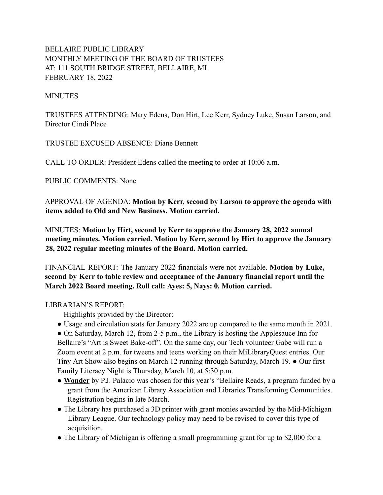# BELLAIRE PUBLIC LIBRARY MONTHLY MEETING OF THE BOARD OF TRUSTEES AT: 111 SOUTH BRIDGE STREET, BELLAIRE, MI FEBRUARY 18, 2022

#### **MINUTES**

TRUSTEES ATTENDING: Mary Edens, Don Hirt, Lee Kerr, Sydney Luke, Susan Larson, and Director Cindi Place

TRUSTEE EXCUSED ABSENCE: Diane Bennett

CALL TO ORDER: President Edens called the meeting to order at 10:06 a.m.

PUBLIC COMMENTS: None

APPROVAL OF AGENDA: **Motion by Kerr, second by Larson to approve the agenda with items added to Old and New Business. Motion carried.**

MINUTES: **Motion by Hirt, second by Kerr to approve the January 28, 2022 annual meeting minutes. Motion carried. Motion by Kerr, second by Hirt to approve the January 28, 2022 regular meeting minutes of the Board. Motion carried.**

FINANCIAL REPORT: The January 2022 financials were not available. **Motion by Luke, second by Kerr to table review and acceptance of the January financial report until the March 2022 Board meeting. Roll call: Ayes: 5, Nays: 0. Motion carried.**

### LIBRARIAN'S REPORT:

Highlights provided by the Director:

● Usage and circulation stats for January 2022 are up compared to the same month in 2021.

• On Saturday, March 12, from 2-5 p.m., the Library is hosting the Applesauce Inn for Bellaire's "Art is Sweet Bake-off". On the same day, our Tech volunteer Gabe will run a Zoom event at 2 p.m. for tweens and teens working on their MiLibraryQuest entries. Our Tiny Art Show also begins on March 12 running through Saturday, March 19. ● Our first Family Literacy Night is Thursday, March 10, at 5:30 p.m.

- *●* **Wonder** by P.J. Palacio was chosen for this year's "Bellaire Reads, a program funded by a grant from the American Library Association and Libraries Transforming Communities. Registration begins in late March.
- The Library has purchased a 3D printer with grant monies awarded by the Mid-Michigan Library League. Our technology policy may need to be revised to cover this type of acquisition.
- The Library of Michigan is offering a small programming grant for up to \$2,000 for a